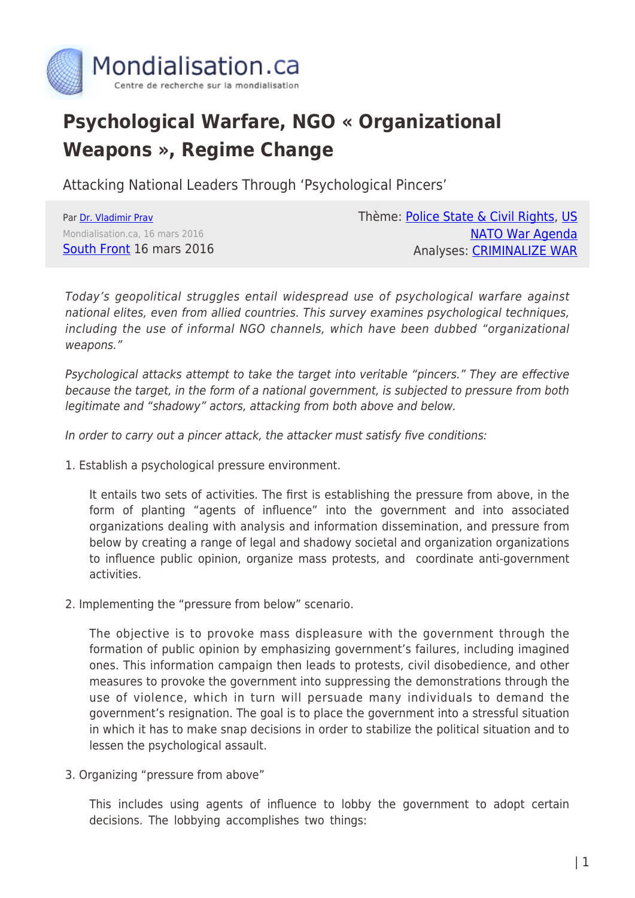

## **Psychological Warfare, NGO « Organizational Weapons », Regime Change**

Attacking National Leaders Through 'Psychological Pincers'

Par [Dr. Vladimir Prav](https://www.mondialisation.ca/author/dr-vladimir-prav) Mondialisation.ca, 16 mars 2016 [South Front](https://southfront.org/attacking-national-leaders-through-psychological-pincers/) 16 mars 2016 Thème: [Police State & Civil Rights,](https://www.mondialisation.ca/theme/police-state-civil-rights) [US](https://www.mondialisation.ca/theme/us-nato-war-agenda) [NATO War Agenda](https://www.mondialisation.ca/theme/us-nato-war-agenda) Analyses: [CRIMINALIZE WAR](https://www.mondialisation.ca/indepthreport/criminalize-war)

Today's geopolitical struggles entail widespread use of psychological warfare against national elites, even from allied countries. This survey examines psychological techniques, including the use of informal NGO channels, which have been dubbed "organizational weapons."

Psychological attacks attempt to take the target into veritable "pincers." They are effective because the target, in the form of a national government, is subjected to pressure from both legitimate and "shadowy" actors, attacking from both above and below.

In order to carry out a pincer attack, the attacker must satisfy five conditions:

1. Establish a psychological pressure environment.

It entails two sets of activities. The first is establishing the pressure from above, in the form of planting "agents of influence" into the government and into associated organizations dealing with analysis and information dissemination, and pressure from below by creating a range of legal and shadowy societal and organization organizations to influence public opinion, organize mass protests, and coordinate anti-government activities.

2. Implementing the "pressure from below" scenario.

The objective is to provoke mass displeasure with the government through the formation of public opinion by emphasizing government's failures, including imagined ones. This information campaign then leads to protests, civil disobedience, and other measures to provoke the government into suppressing the demonstrations through the use of violence, which in turn will persuade many individuals to demand the government's resignation. The goal is to place the government into a stressful situation in which it has to make snap decisions in order to stabilize the political situation and to lessen the psychological assault.

3. Organizing "pressure from above"

This includes using agents of influence to lobby the government to adopt certain decisions. The lobbying accomplishes two things: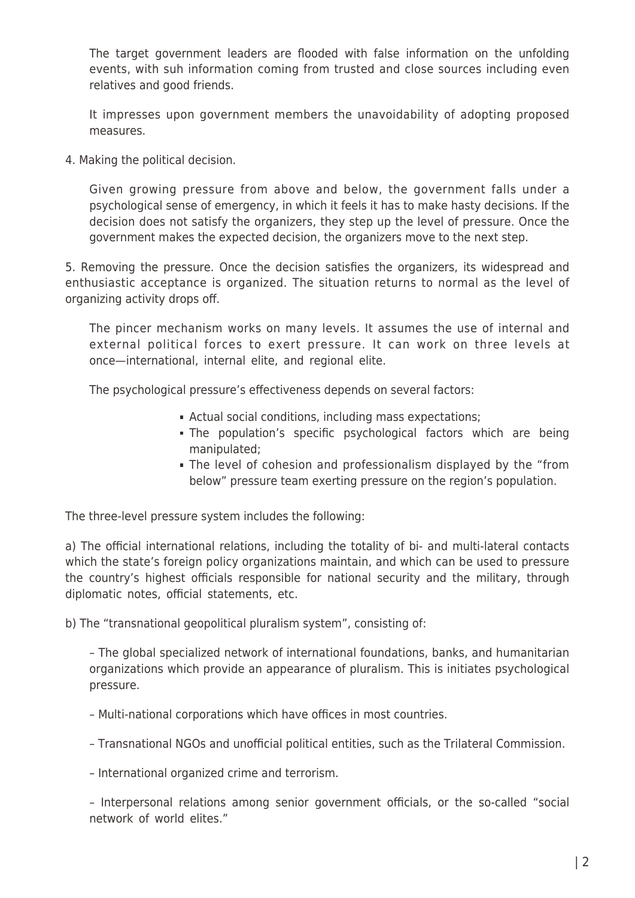The target government leaders are flooded with false information on the unfolding events, with suh information coming from trusted and close sources including even relatives and good friends.

It impresses upon government members the unavoidability of adopting proposed measures.

4. Making the political decision.

Given growing pressure from above and below, the government falls under a psychological sense of emergency, in which it feels it has to make hasty decisions. If the decision does not satisfy the organizers, they step up the level of pressure. Once the government makes the expected decision, the organizers move to the next step.

5. Removing the pressure. Once the decision satisfies the organizers, its widespread and enthusiastic acceptance is organized. The situation returns to normal as the level of organizing activity drops off.

The pincer mechanism works on many levels. It assumes the use of internal and external political forces to exert pressure. It can work on three levels at once—international, internal elite, and regional elite.

The psychological pressure's effectiveness depends on several factors:

- Actual social conditions, including mass expectations;
- The population's specific psychological factors which are being manipulated;
- The level of cohesion and professionalism displayed by the "from below" pressure team exerting pressure on the region's population.

The three-level pressure system includes the following:

a) The official international relations, including the totality of bi- and multi-lateral contacts which the state's foreign policy organizations maintain, and which can be used to pressure the country's highest officials responsible for national security and the military, through diplomatic notes, official statements, etc.

b) The "transnational geopolitical pluralism system", consisting of:

– The global specialized network of international foundations, banks, and humanitarian organizations which provide an appearance of pluralism. This is initiates psychological pressure.

– Multi-national corporations which have offices in most countries.

– Transnational NGOs and unofficial political entities, such as the Trilateral Commission.

– International organized crime and terrorism.

– Interpersonal relations among senior government officials, or the so-called "social network of world elites."